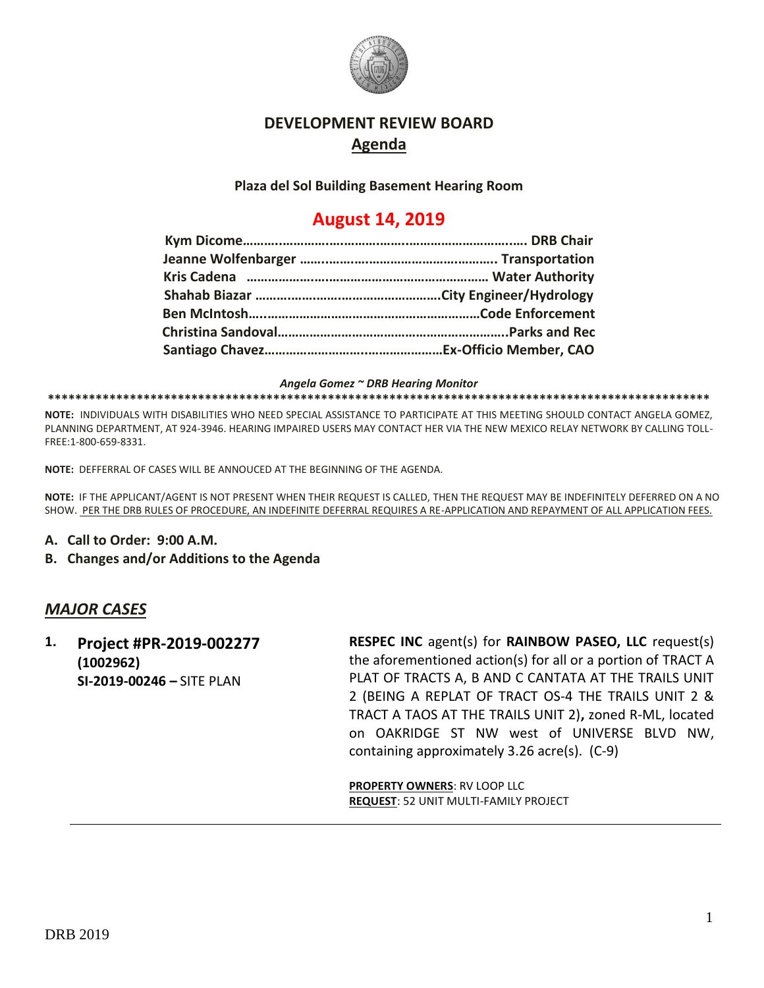

### **DEVELOPMENT REVIEW BOARD Agenda**

**Plaza del Sol Building Basement Hearing Room**

# **August 14, 2019**

*Angela Gomez ~ DRB Hearing Monitor*

**\*\*\*\*\*\*\*\*\*\*\*\*\*\*\*\*\*\*\*\*\*\*\*\*\*\*\*\*\*\*\*\*\*\*\*\*\*\*\*\*\*\*\*\*\*\*\*\*\*\*\*\*\*\*\*\*\*\*\*\*\*\*\*\*\*\*\*\*\*\*\*\*\*\*\*\*\*\*\*\*\*\*\*\*\*\*\*\*\*\*\*\*\*\*\*\*\***

**NOTE:** INDIVIDUALS WITH DISABILITIES WHO NEED SPECIAL ASSISTANCE TO PARTICIPATE AT THIS MEETING SHOULD CONTACT ANGELA GOMEZ, PLANNING DEPARTMENT, AT 924-3946. HEARING IMPAIRED USERS MAY CONTACT HER VIA THE NEW MEXICO RELAY NETWORK BY CALLING TOLL-FREE:1-800-659-8331.

**NOTE:** DEFFERRAL OF CASES WILL BE ANNOUCED AT THE BEGINNING OF THE AGENDA.

**NOTE:** IF THE APPLICANT/AGENT IS NOT PRESENT WHEN THEIR REQUEST IS CALLED, THEN THE REQUEST MAY BE INDEFINITELY DEFERRED ON A NO SHOW. PER THE DRB RULES OF PROCEDURE, AN INDEFINITE DEFERRAL REQUIRES A RE-APPLICATION AND REPAYMENT OF ALL APPLICATION FEES.

- **A. Call to Order: 9:00 A.M.**
- **B. Changes and/or Additions to the Agenda**

### *MAJOR CASES*

**1. Project #PR-2019-002277 (1002962) SI-2019-00246 –** SITE PLAN

**RESPEC INC** agent(s) for **RAINBOW PASEO, LLC** request(s) the aforementioned action(s) for all or a portion of TRACT A PLAT OF TRACTS A, B AND C CANTATA AT THE TRAILS UNIT 2 (BEING A REPLAT OF TRACT OS-4 THE TRAILS UNIT 2 & TRACT A TAOS AT THE TRAILS UNIT 2)**,** zoned R-ML, located on OAKRIDGE ST NW west of UNIVERSE BLVD NW, containing approximately 3.26 acre(s). (C-9)

**PROPERTY OWNERS**: RV LOOP LLC **REQUEST**: 52 UNIT MULTI-FAMILY PROJECT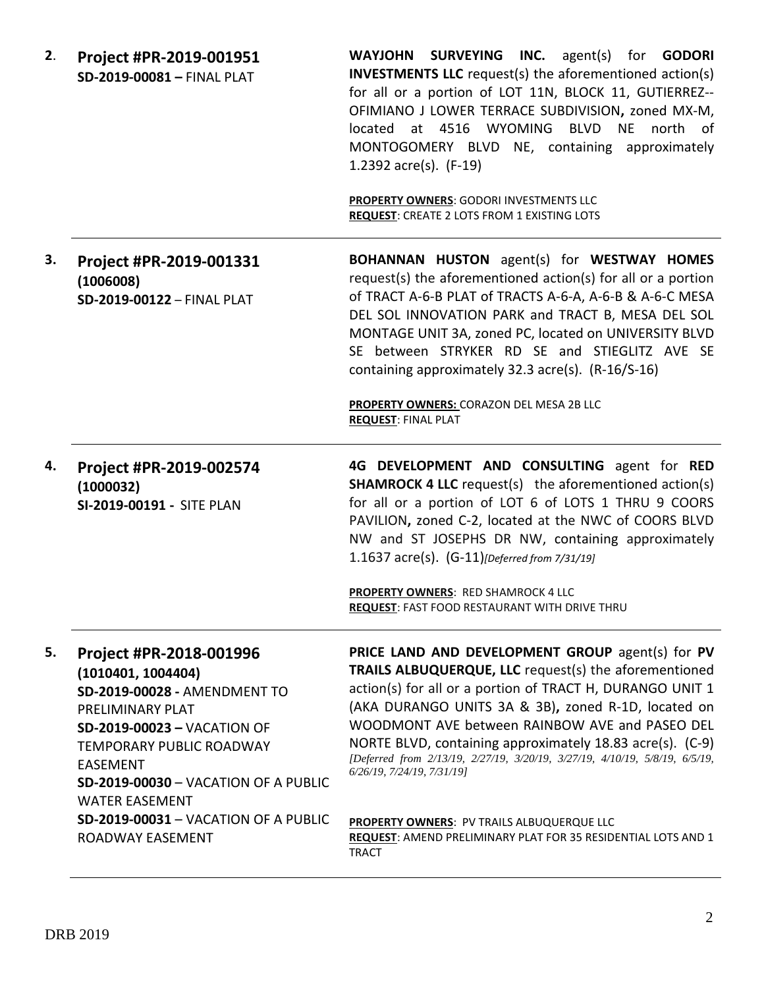| 2. | Project #PR-2019-001951<br>SD-2019-00081 - FINAL PLAT                                                                                                                                                                                                                                                         | WAYJOHN SURVEYING INC. agent(s) for GODORI<br><b>INVESTMENTS LLC</b> request(s) the aforementioned action(s)<br>for all or a portion of LOT 11N, BLOCK 11, GUTIERREZ--<br>OFIMIANO J LOWER TERRACE SUBDIVISION, zoned MX-M,<br>at 4516 WYOMING<br><b>BLVD</b><br><b>NE</b><br>north<br>located<br>of<br>MONTOGOMERY BLVD NE, containing approximately<br>1.2392 $\arccos 1$ . (F-19)                                                                      |
|----|---------------------------------------------------------------------------------------------------------------------------------------------------------------------------------------------------------------------------------------------------------------------------------------------------------------|-----------------------------------------------------------------------------------------------------------------------------------------------------------------------------------------------------------------------------------------------------------------------------------------------------------------------------------------------------------------------------------------------------------------------------------------------------------|
|    |                                                                                                                                                                                                                                                                                                               | PROPERTY OWNERS: GODORI INVESTMENTS LLC<br><b>REQUEST: CREATE 2 LOTS FROM 1 EXISTING LOTS</b>                                                                                                                                                                                                                                                                                                                                                             |
| 3. | Project #PR-2019-001331<br>(1006008)<br>SD-2019-00122 - FINAL PLAT                                                                                                                                                                                                                                            | <b>BOHANNAN HUSTON</b> agent(s) for <b>WESTWAY HOMES</b><br>request(s) the aforementioned action(s) for all or a portion<br>of TRACT A-6-B PLAT of TRACTS A-6-A, A-6-B & A-6-C MESA<br>DEL SOL INNOVATION PARK and TRACT B, MESA DEL SOL<br>MONTAGE UNIT 3A, zoned PC, located on UNIVERSITY BLVD<br>SE between STRYKER RD SE and STIEGLITZ AVE SE<br>containing approximately 32.3 acre(s). (R-16/S-16)                                                  |
|    |                                                                                                                                                                                                                                                                                                               | PROPERTY OWNERS: CORAZON DEL MESA 2B LLC<br><b>REQUEST: FINAL PLAT</b>                                                                                                                                                                                                                                                                                                                                                                                    |
| 4. | Project #PR-2019-002574                                                                                                                                                                                                                                                                                       | 4G DEVELOPMENT AND CONSULTING agent for RED                                                                                                                                                                                                                                                                                                                                                                                                               |
|    | (1000032)<br>SI-2019-00191 - SITE PLAN                                                                                                                                                                                                                                                                        | <b>SHAMROCK 4 LLC</b> request(s) the aforementioned action(s)<br>for all or a portion of LOT 6 of LOTS 1 THRU 9 COORS<br>PAVILION, zoned C-2, located at the NWC of COORS BLVD<br>NW and ST JOSEPHS DR NW, containing approximately<br>1.1637 acre(s). (G-11)[Deferred from 7/31/19]                                                                                                                                                                      |
|    |                                                                                                                                                                                                                                                                                                               | <b>PROPERTY OWNERS: RED SHAMROCK 4 LLC</b><br><b>REQUEST: FAST FOOD RESTAURANT WITH DRIVE THRU</b>                                                                                                                                                                                                                                                                                                                                                        |
| 5. | Project #PR-2018-001996<br>(1010401, 1004404)<br>SD-2019-00028 - AMENDMENT TO<br>PRELIMINARY PLAT<br>SD-2019-00023 - VACATION OF<br><b>TEMPORARY PUBLIC ROADWAY</b><br><b>EASEMENT</b><br><b>SD-2019-00030 - VACATION OF A PUBLIC</b><br><b>WATER EASEMENT</b><br><b>SD-2019-00031 - VACATION OF A PUBLIC</b> | PRICE LAND AND DEVELOPMENT GROUP agent(s) for PV<br>TRAILS ALBUQUERQUE, LLC request(s) the aforementioned<br>action(s) for all or a portion of TRACT H, DURANGO UNIT 1<br>(AKA DURANGO UNITS 3A & 3B), zoned R-1D, located on<br>WOODMONT AVE between RAINBOW AVE and PASEO DEL<br>NORTE BLVD, containing approximately 18.83 acre(s). (C-9)<br>[Deferred from 2/13/19, 2/27/19, 3/20/19, 3/27/19, 4/10/19, 5/8/19, 6/5/19,<br>6/26/19, 7/24/19, 7/31/19] |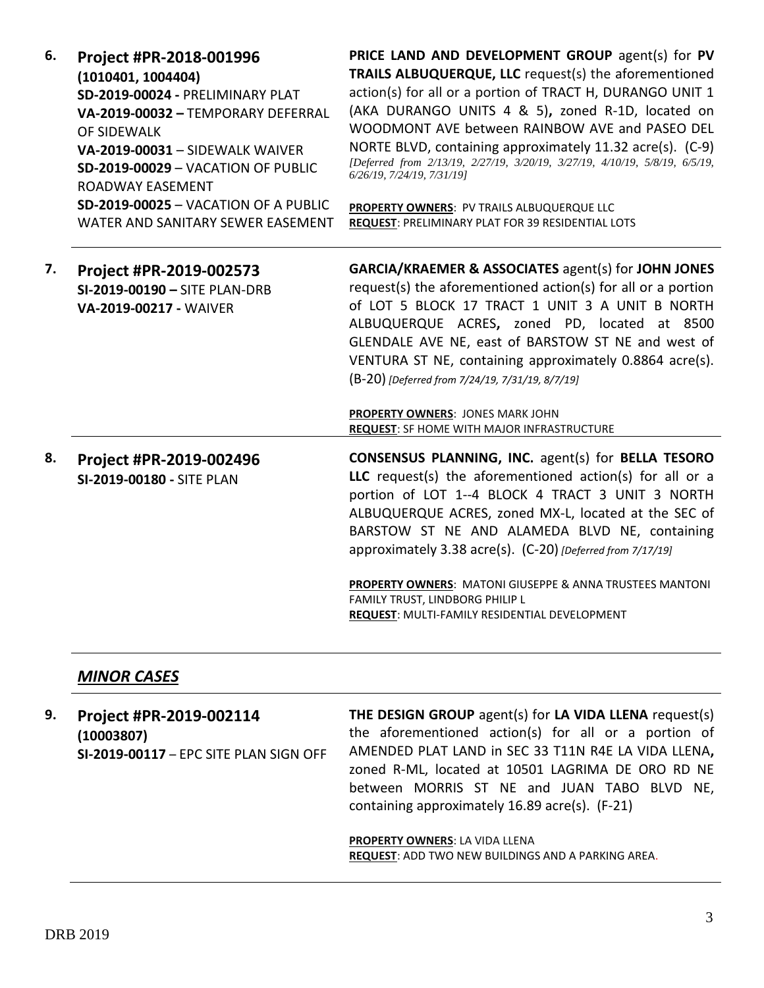| 6. | Project #PR-2018-001996<br>(1010401, 1004404)<br>SD-2019-00024 - PRELIMINARY PLAT<br>VA-2019-00032 - TEMPORARY DEFERRAL<br>OF SIDEWALK<br><b>VA-2019-00031 - SIDEWALK WAIVER</b><br>SD-2019-00029 - VACATION OF PUBLIC<br>ROADWAY EASEMENT<br>SD-2019-00025 - VACATION OF A PUBLIC<br>WATER AND SANITARY SEWER EASEMENT | PRICE LAND AND DEVELOPMENT GROUP agent(s) for PV<br>TRAILS ALBUQUERQUE, LLC request(s) the aforementioned<br>action(s) for all or a portion of TRACT H, DURANGO UNIT 1<br>(AKA DURANGO UNITS 4 & 5), zoned R-1D, located on<br>WOODMONT AVE between RAINBOW AVE and PASEO DEL<br>NORTE BLVD, containing approximately 11.32 acre(s). (C-9)<br>[Deferred from 2/13/19, 2/27/19, 3/20/19, 3/27/19, 4/10/19, 5/8/19, 6/5/19,<br>6/26/19, 7/24/19, 7/31/19]<br>PROPERTY OWNERS: PV TRAILS ALBUQUERQUE LLC<br>REQUEST: PRELIMINARY PLAT FOR 39 RESIDENTIAL LOTS |
|----|-------------------------------------------------------------------------------------------------------------------------------------------------------------------------------------------------------------------------------------------------------------------------------------------------------------------------|------------------------------------------------------------------------------------------------------------------------------------------------------------------------------------------------------------------------------------------------------------------------------------------------------------------------------------------------------------------------------------------------------------------------------------------------------------------------------------------------------------------------------------------------------------|
| 7. | Project #PR-2019-002573<br>SI-2019-00190 - SITE PLAN-DRB<br>VA-2019-00217 - WAIVER                                                                                                                                                                                                                                      | <b>GARCIA/KRAEMER &amp; ASSOCIATES agent(s) for JOHN JONES</b><br>request(s) the aforementioned action(s) for all or a portion<br>of LOT 5 BLOCK 17 TRACT 1 UNIT 3 A UNIT B NORTH<br>ALBUQUERQUE ACRES, zoned PD, located at 8500<br>GLENDALE AVE NE, east of BARSTOW ST NE and west of<br>VENTURA ST NE, containing approximately 0.8864 acre(s).<br>(B-20) [Deferred from 7/24/19, 7/31/19, 8/7/19]<br>PROPERTY OWNERS: JONES MARK JOHN<br>REQUEST: SF HOME WITH MAJOR INFRASTRUCTURE                                                                    |
| 8. | Project #PR-2019-002496<br>SI-2019-00180 - SITE PLAN                                                                                                                                                                                                                                                                    | <b>CONSENSUS PLANNING, INC. agent(s) for BELLA TESORO</b><br>LLC request(s) the aforementioned action(s) for all or a<br>portion of LOT 1--4 BLOCK 4 TRACT 3 UNIT 3 NORTH<br>ALBUQUERQUE ACRES, zoned MX-L, located at the SEC of<br>BARSTOW ST NE AND ALAMEDA BLVD NE, containing<br>approximately 3.38 acre(s). (C-20) [Deferred from 7/17/19]<br>PROPERTY OWNERS: MATONI GIUSEPPE & ANNA TRUSTEES MANTONI<br>FAMILY TRUST, LINDBORG PHILIP L<br>REQUEST: MULTI-FAMILY RESIDENTIAL DEVELOPMENT                                                           |

## *MINOR CASES*

| 9. | Project #PR-2019-002114<br>(10003807)<br>SI-2019-00117 - EPC SITE PLAN SIGN OFF | THE DESIGN GROUP agent(s) for LA VIDA LLENA request(s)<br>the aforementioned action(s) for all or a portion of<br>AMENDED PLAT LAND in SEC 33 T11N R4E LA VIDA LLENA,<br>zoned R-ML, located at 10501 LAGRIMA DE ORO RD NE<br>between MORRIS ST NE and JUAN TABO BLVD NE,<br>containing approximately 16.89 acre(s). (F-21) |
|----|---------------------------------------------------------------------------------|-----------------------------------------------------------------------------------------------------------------------------------------------------------------------------------------------------------------------------------------------------------------------------------------------------------------------------|
|    |                                                                                 | <b>PROPERTY OWNERS: LA VIDA LLENA</b><br><b>REQUEST:</b> ADD TWO NEW BUILDINGS AND A PARKING AREA.                                                                                                                                                                                                                          |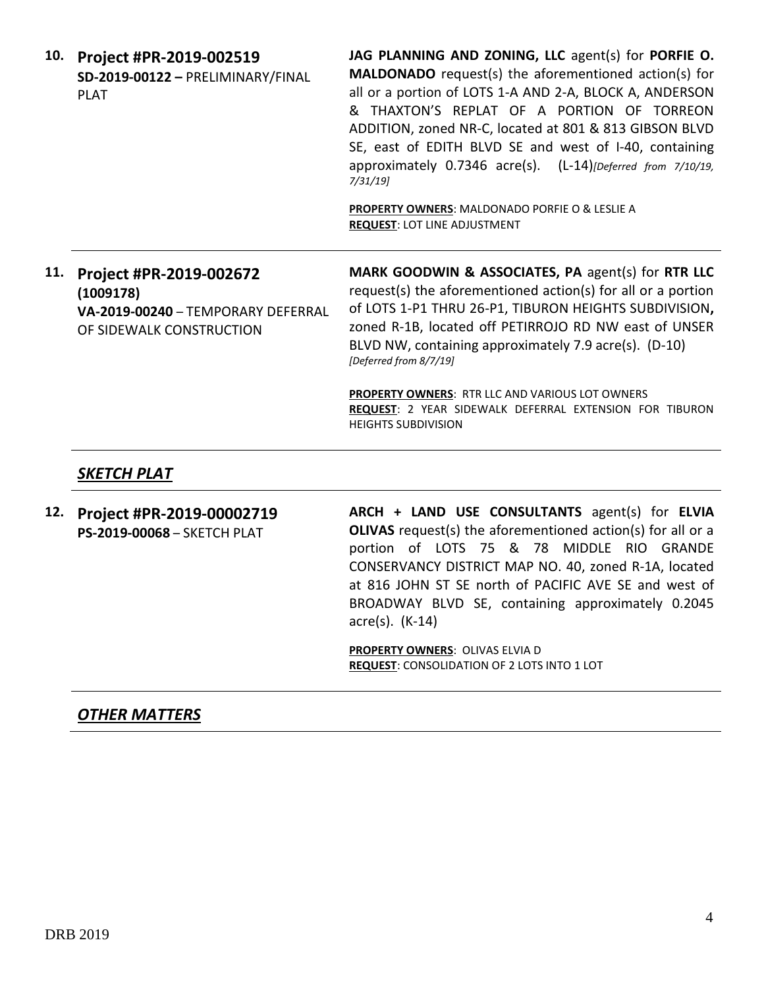**10. Project #PR-2019-002519 SD-2019-00122 –** PRELIMINARY/FINAL PLAT

**JAG PLANNING AND ZONING, LLC** agent(s) for **PORFIE O. MALDONADO** request(s) the aforementioned action(s) for all or a portion of LOTS 1-A AND 2-A, BLOCK A, ANDERSON & THAXTON'S REPLAT OF A PORTION OF TORREON ADDITION, zoned NR-C, located at 801 & 813 GIBSON BLVD SE, east of EDITH BLVD SE and west of I-40, containing approximately 0.7346 acre(s). (L-14)*[Deferred from 7/10/19, 7/31/19]*

**PROPERTY OWNERS**: MALDONADO PORFIE O & LESLIE A **REQUEST**: LOT LINE ADJUSTMENT

**11. Project #PR-2019-002672 (1009178) VA-2019-00240** – TEMPORARY DEFERRAL OF SIDEWALK CONSTRUCTION

**MARK GOODWIN & ASSOCIATES, PA** agent(s) for **RTR LLC** request(s) the aforementioned action(s) for all or a portion of LOTS 1-P1 THRU 26-P1, TIBURON HEIGHTS SUBDIVISION**,**  zoned R-1B, located off PETIRROJO RD NW east of UNSER BLVD NW, containing approximately 7.9 acre(s). (D-10) *[Deferred from 8/7/19]*

**PROPERTY OWNERS**: RTR LLC AND VARIOUS LOT OWNERS **REQUEST**: 2 YEAR SIDEWALK DEFERRAL EXTENSION FOR TIBURON HEIGHTS SUBDIVISION

#### *SKETCH PLAT*

**12. Project #PR-2019-00002719 PS-2019-00068** – SKETCH PLAT **ARCH + LAND USE CONSULTANTS** agent(s) for **ELVIA OLIVAS** request(s) the aforementioned action(s) for all or a portion of LOTS 75 & 78 MIDDLE RIO GRANDE CONSERVANCY DISTRICT MAP NO. 40, zoned R-1A, located at 816 JOHN ST SE north of PACIFIC AVE SE and west of BROADWAY BLVD SE, containing approximately 0.2045 acre(s). (K-14)

> **PROPERTY OWNERS**: OLIVAS ELVIA D **REQUEST**: CONSOLIDATION OF 2 LOTS INTO 1 LOT

#### *OTHER MATTERS*